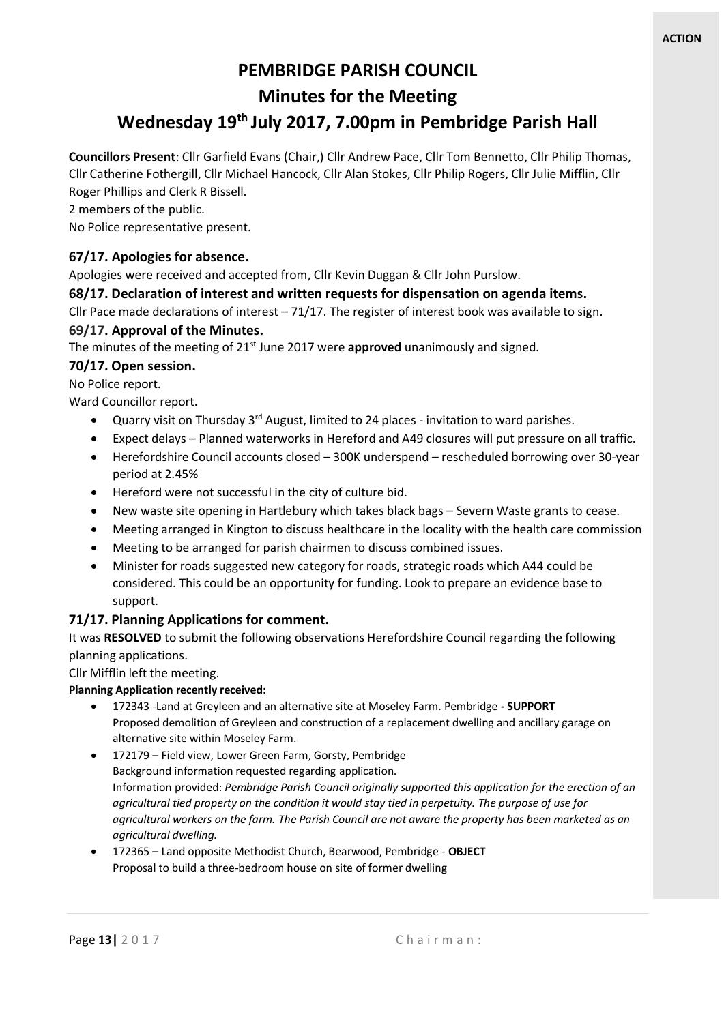# **PEMBRIDGE PARISH COUNCIL Minutes for the Meeting Wednesday 19th July 2017, 7.00pm in Pembridge Parish Hall**

**Councillors Present**: Cllr Garfield Evans (Chair,) Cllr Andrew Pace, Cllr Tom Bennetto, Cllr Philip Thomas, Cllr Catherine Fothergill, Cllr Michael Hancock, Cllr Alan Stokes, Cllr Philip Rogers, Cllr Julie Mifflin, Cllr Roger Phillips and Clerk R Bissell.

2 members of the public.

No Police representative present.

### **67/17. Apologies for absence.**

Apologies were received and accepted from, Cllr Kevin Duggan & Cllr John Purslow.

### **68/17. Declaration of interest and written requests for dispensation on agenda items.**

Cllr Pace made declarations of interest – 71/17. The register of interest book was available to sign.

### **69/17. Approval of the Minutes.**

The minutes of the meeting of 21<sup>st</sup> June 2017 were **approved** unanimously and signed.

### **70/17. Open session.**

No Police report.

Ward Councillor report.

- Quarry visit on Thursday 3rd August, limited to 24 places invitation to ward parishes.
- Expect delays Planned waterworks in Hereford and A49 closures will put pressure on all traffic.
- Herefordshire Council accounts closed 300K underspend rescheduled borrowing over 30-year period at 2.45%
- Hereford were not successful in the city of culture bid.
- New waste site opening in Hartlebury which takes black bags Severn Waste grants to cease.
- Meeting arranged in Kington to discuss healthcare in the locality with the health care commission
- Meeting to be arranged for parish chairmen to discuss combined issues.
- Minister for roads suggested new category for roads, strategic roads which A44 could be considered. This could be an opportunity for funding. Look to prepare an evidence base to support.

### **71/17. Planning Applications for comment.**

It was **RESOLVED** to submit the following observations Herefordshire Council regarding the following planning applications.

Cllr Mifflin left the meeting.

### **Planning Application recently received:**

- 172343 -Land at Greyleen and an alternative site at Moseley Farm. Pembridge **- SUPPORT** Proposed demolition of Greyleen and construction of a replacement dwelling and ancillary garage on alternative site within Moseley Farm.
- 172179 Field view, Lower Green Farm, Gorsty, Pembridge Background information requested regarding application. Information provided: *Pembridge Parish Council originally supported this application for the erection of an agricultural tied property on the condition it would stay tied in perpetuity. The purpose of use for agricultural workers on the farm. The Parish Council are not aware the property has been marketed as an agricultural dwelling.*
- 172365 Land opposite Methodist Church, Bearwood, Pembridge **OBJECT** Proposal to build a three-bedroom house on site of former dwelling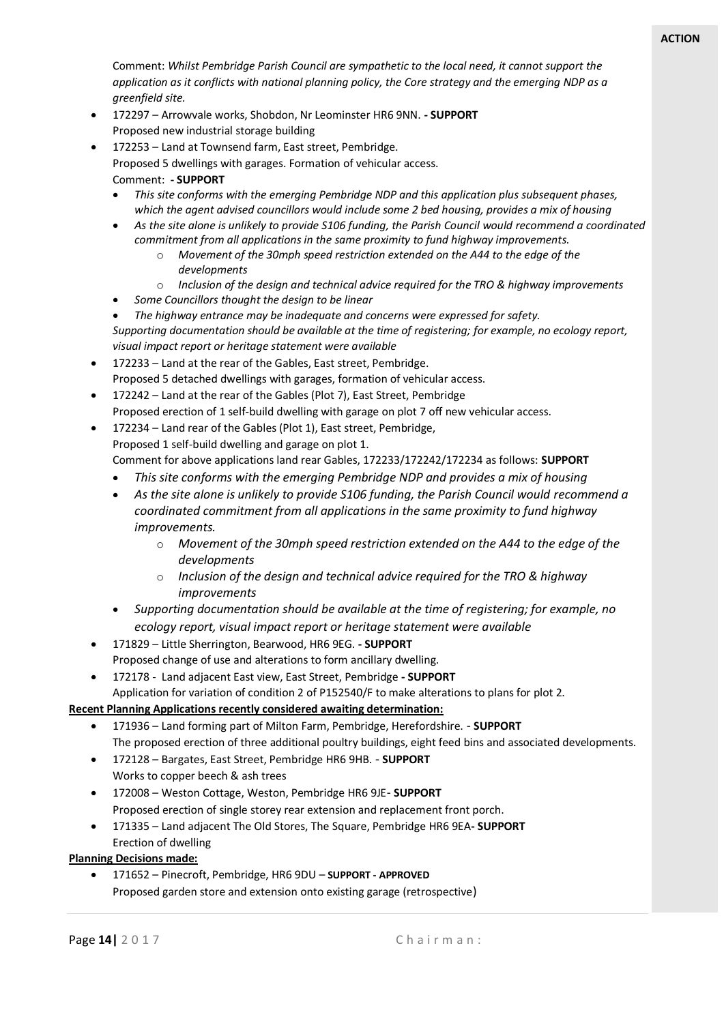Comment: *Whilst Pembridge Parish Council are sympathetic to the local need, it cannot support the application as it conflicts with national planning policy, the Core strategy and the emerging NDP as a greenfield site.*

- 172297 Arrowvale works, Shobdon, Nr Leominster HR6 9NN. **- SUPPORT** Proposed new industrial storage building
- 172253 Land at Townsend farm, East street, Pembridge. Proposed 5 dwellings with garages. Formation of vehicular access.

Comment: **- SUPPORT**

- *This site conforms with the emerging Pembridge NDP and this application plus subsequent phases, which the agent advised councillors would include some 2 bed housing, provides a mix of housing*
- *As the site alone is unlikely to provide S106 funding, the Parish Council would recommend a coordinated commitment from all applications in the same proximity to fund highway improvements.*
	- o *Movement of the 30mph speed restriction extended on the A44 to the edge of the developments*
	- o *Inclusion of the design and technical advice required for the TRO & highway improvements*
- *Some Councillors thought the design to be linear*
- *The highway entrance may be inadequate and concerns were expressed for safety. Supporting documentation should be available at the time of registering; for example, no ecology report, visual impact report or heritage statement were available*
- 172233 Land at the rear of the Gables, East street, Pembridge. Proposed 5 detached dwellings with garages, formation of vehicular access.
- 172242 Land at the rear of the Gables (Plot 7), East Street, Pembridge Proposed erection of 1 self-build dwelling with garage on plot 7 off new vehicular access.
- 172234 Land rear of the Gables (Plot 1), East street, Pembridge, Proposed 1 self-build dwelling and garage on plot 1. Comment for above applications land rear Gables, 172233/172242/172234 as follows: **SUPPORT**
	- *This site conforms with the emerging Pembridge NDP and provides a mix of housing*
	- *As the site alone is unlikely to provide S106 funding, the Parish Council would recommend a coordinated commitment from all applications in the same proximity to fund highway improvements.*
		- o *Movement of the 30mph speed restriction extended on the A44 to the edge of the developments*
		- o *Inclusion of the design and technical advice required for the TRO & highway improvements*
	- *Supporting documentation should be available at the time of registering; for example, no ecology report, visual impact report or heritage statement were available*
- 171829 Little Sherrington, Bearwood, HR6 9EG. **- SUPPORT** Proposed change of use and alterations to form ancillary dwelling.
- 172178 Land adjacent East view, East Street, Pembridge **- SUPPORT**
- Application for variation of condition 2 of P152540/F to make alterations to plans for plot 2.

### **Recent Planning Applications recently considered awaiting determination:**

- 171936 Land forming part of Milton Farm, Pembridge, Herefordshire. **SUPPORT** The proposed erection of three additional poultry buildings, eight feed bins and associated developments.
- 172128 Bargates, East Street, Pembridge HR6 9HB. **SUPPORT**
- Works to copper beech & ash trees
- 172008 Weston Cottage, Weston, Pembridge HR6 9JE- **SUPPORT** Proposed erection of single storey rear extension and replacement front porch.
- 171335 Land adjacent The Old Stores, The Square, Pembridge HR6 9EA**- SUPPORT** Erection of dwelling

#### **Planning Decisions made:**

• 171652 – Pinecroft, Pembridge, HR6 9DU – **SUPPORT - APPROVED** Proposed garden store and extension onto existing garage (retrospective)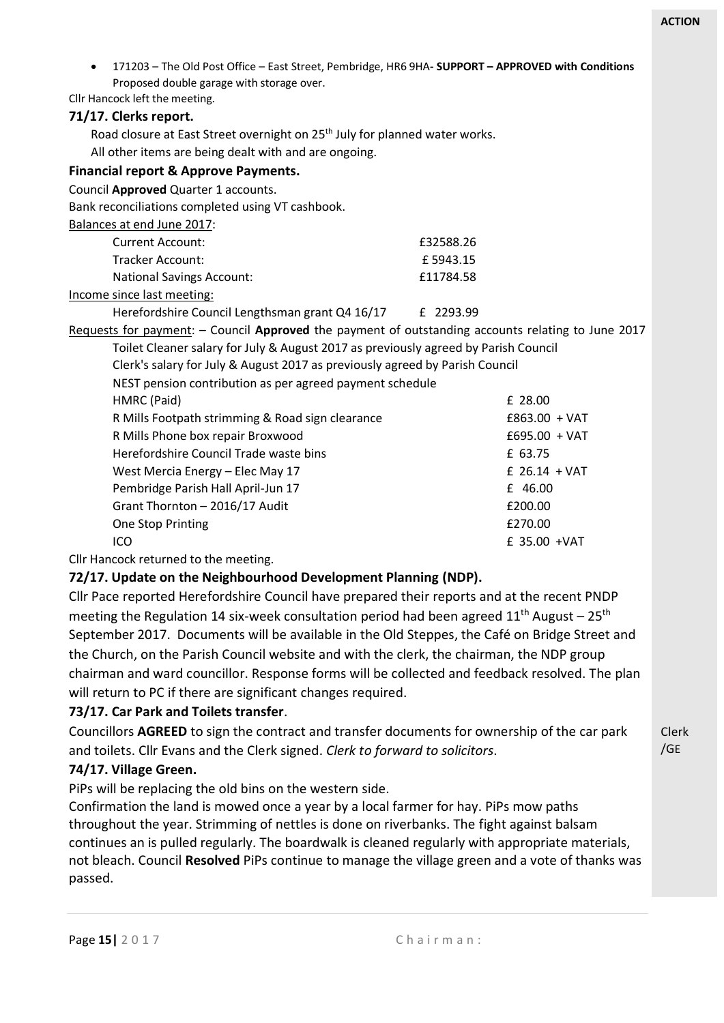Clerk /GE

|                                                                                     | 171203 - The Old Post Office - East Street, Pembridge, HR6 9HA- SUPPORT - APPROVED with Conditions |
|-------------------------------------------------------------------------------------|----------------------------------------------------------------------------------------------------|
|                                                                                     |                                                                                                    |
|                                                                                     |                                                                                                    |
|                                                                                     |                                                                                                    |
|                                                                                     |                                                                                                    |
|                                                                                     |                                                                                                    |
|                                                                                     |                                                                                                    |
|                                                                                     |                                                                                                    |
|                                                                                     |                                                                                                    |
|                                                                                     |                                                                                                    |
| £32588.26                                                                           |                                                                                                    |
| £5943.15                                                                            |                                                                                                    |
| £11784.58                                                                           |                                                                                                    |
|                                                                                     |                                                                                                    |
| Herefordshire Council Lengthsman grant Q4 16/17<br>£ 2293.99                        |                                                                                                    |
|                                                                                     | Requests for payment: - Council Approved the payment of outstanding accounts relating to June 2017 |
| Toilet Cleaner salary for July & August 2017 as previously agreed by Parish Council |                                                                                                    |
| Clerk's salary for July & August 2017 as previously agreed by Parish Council        |                                                                                                    |
| NEST pension contribution as per agreed payment schedule                            |                                                                                                    |
|                                                                                     | £ 28.00                                                                                            |
|                                                                                     | $£863.00 + VAT$                                                                                    |
|                                                                                     | $£695.00 + VAT$                                                                                    |
|                                                                                     | £ 63.75                                                                                            |
|                                                                                     | £ $26.14 + VAT$                                                                                    |
|                                                                                     | £ 46.00                                                                                            |
|                                                                                     | £200.00                                                                                            |
|                                                                                     | £270.00                                                                                            |
|                                                                                     | £ 35.00 +VAT                                                                                       |
|                                                                                     | Road closure at East Street overnight on 25 <sup>th</sup> July for planned water works.            |

Cllr Hancock returned to the meeting.

### **72/17. Update on the Neighbourhood Development Planning (NDP).**

Cllr Pace reported Herefordshire Council have prepared their reports and at the recent PNDP meeting the Regulation 14 six-week consultation period had been agreed  $11<sup>th</sup>$  August – 25<sup>th</sup> September 2017. Documents will be available in the Old Steppes, the Café on Bridge Street and the Church, on the Parish Council website and with the clerk, the chairman, the NDP group chairman and ward councillor. Response forms will be collected and feedback resolved. The plan will return to PC if there are significant changes required.

### **73/17. Car Park and Toilets transfer**.

Councillors **AGREED** to sign the contract and transfer documents for ownership of the car park and toilets. Cllr Evans and the Clerk signed. *Clerk to forward to solicitors*.

## **74/17. Village Green.**

PiPs will be replacing the old bins on the western side.

Confirmation the land is mowed once a year by a local farmer for hay. PiPs mow paths throughout the year. Strimming of nettles is done on riverbanks. The fight against balsam continues an is pulled regularly. The boardwalk is cleaned regularly with appropriate materials, not bleach. Council **Resolved** PiPs continue to manage the village green and a vote of thanks was passed.